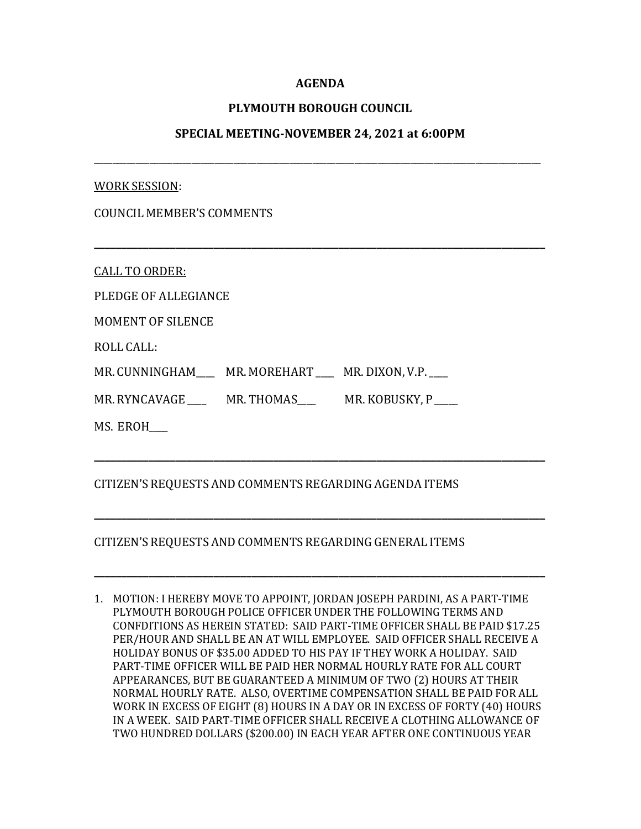## **AGENDA**

## **PLYMOUTH BOROUGH COUNCIL**

## **SPECIAL MEETING-NOVEMBER 24, 2021 at 6:00PM**

\_\_\_\_\_\_\_\_\_\_\_\_\_\_\_\_\_\_\_\_\_\_\_\_\_\_\_\_\_\_\_\_\_\_\_\_\_\_\_\_\_\_\_\_\_\_\_\_\_\_\_\_\_\_\_\_\_\_\_\_\_\_\_\_\_\_\_\_\_\_\_\_\_\_\_\_\_\_\_\_\_\_\_\_\_\_\_\_\_\_\_\_\_\_\_\_

**\_\_\_\_\_\_\_\_\_\_\_\_\_\_\_\_\_\_\_\_\_\_\_\_\_\_\_\_\_\_\_\_\_\_\_\_\_\_\_\_\_\_\_\_\_\_\_\_\_\_\_\_\_\_\_\_\_\_\_\_\_\_\_\_\_\_\_\_\_\_\_\_\_\_\_\_\_\_\_\_\_\_\_**

#### WORK SESSION:

CALL TO ORDER:

PLEDGE OF ALLEGIANCE

MOMENT OF SILENCE

ROLL CALL:

MR. CUNNINGHAM \_\_\_\_ MR. MOREHART \_\_\_\_ MR. DIXON, V.P.

MR. RYNCAVAGE \_\_\_\_\_ MR. THOMAS \_\_\_\_\_ MR. KOBUSKY, P

MS. EROH\_\_\_\_

# CITIZEN'S REQUESTS AND COMMENTS REGARDING AGENDA ITEMS

## CITIZEN'S REQUESTS AND COMMENTS REGARDING GENERAL ITEMS

1. MOTION: I HEREBY MOVE TO APPOINT, JORDAN JOSEPH PARDINI, AS A PART-TIME PLYMOUTH BOROUGH POLICE OFFICER UNDER THE FOLLOWING TERMS AND CONFDITIONS AS HEREIN STATED: SAID PART-TIME OFFICER SHALL BE PAID \$17.25 PER/HOUR AND SHALL BE AN AT WILL EMPLOYEE. SAID OFFICER SHALL RECEIVE A HOLIDAY BONUS OF \$35.00 ADDED TO HIS PAY IF THEY WORK A HOLIDAY. SAID PART-TIME OFFICER WILL BE PAID HER NORMAL HOURLY RATE FOR ALL COURT APPEARANCES, BUT BE GUARANTEED A MINIMUM OF TWO (2) HOURS AT THEIR NORMAL HOURLY RATE. ALSO, OVERTIME COMPENSATION SHALL BE PAID FOR ALL WORK IN EXCESS OF EIGHT (8) HOURS IN A DAY OR IN EXCESS OF FORTY (40) HOURS IN A WEEK. SAID PART-TIME OFFICER SHALL RECEIVE A CLOTHING ALLOWANCE OF TWO HUNDRED DOLLARS (\$200.00) IN EACH YEAR AFTER ONE CONTINUOUS YEAR

**\_\_\_\_\_\_\_\_\_\_\_\_\_\_\_\_\_\_\_\_\_\_\_\_\_\_\_\_\_\_\_\_\_\_\_\_\_\_\_\_\_\_\_\_\_\_\_\_\_\_\_\_\_\_\_\_\_\_\_\_\_\_\_\_\_\_\_\_\_\_\_\_\_\_\_\_\_\_\_\_\_\_\_**

**\_\_\_\_\_\_\_\_\_\_\_\_\_\_\_\_\_\_\_\_\_\_\_\_\_\_\_\_\_\_\_\_\_\_\_\_\_\_\_\_\_\_\_\_\_\_\_\_\_\_\_\_\_\_\_\_\_\_\_\_\_\_\_\_\_\_\_\_\_\_\_\_\_\_\_\_\_\_\_\_\_\_\_**

**\_\_\_\_\_\_\_\_\_\_\_\_\_\_\_\_\_\_\_\_\_\_\_\_\_\_\_\_\_\_\_\_\_\_\_\_\_\_\_\_\_\_\_\_\_\_\_\_\_\_\_\_\_\_\_\_\_\_\_\_\_\_\_\_\_\_\_\_\_\_\_\_\_\_\_\_\_\_\_\_\_\_\_**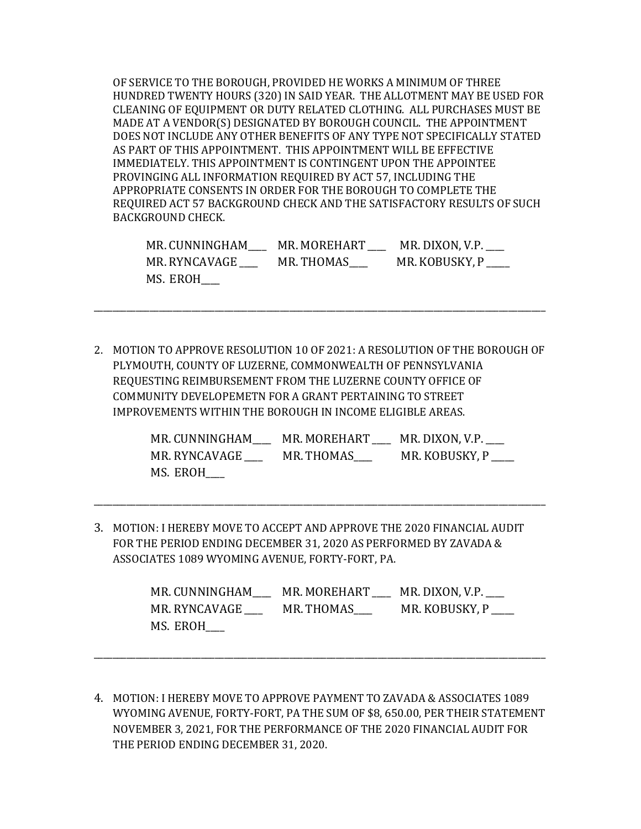OF SERVICE TO THE BOROUGH, PROVIDED HE WORKS A MINIMUM OF THREE HUNDRED TWENTY HOURS (320) IN SAID YEAR. THE ALLOTMENT MAY BE USED FOR CLEANING OF EQUIPMENT OR DUTY RELATED CLOTHING. ALL PURCHASES MUST BE MADE AT A VENDOR(S) DESIGNATED BY BOROUGH COUNCIL. THE APPOINTMENT DOES NOT INCLUDE ANY OTHER BENEFITS OF ANY TYPE NOT SPECIFICALLY STATED AS PART OF THIS APPOINTMENT. THIS APPOINTMENT WILL BE EFFECTIVE IMMEDIATELY. THIS APPOINTMENT IS CONTINGENT UPON THE APPOINTEE PROVINGING ALL INFORMATION REQUIRED BY ACT 57, INCLUDING THE APPROPRIATE CONSENTS IN ORDER FOR THE BOROUGH TO COMPLETE THE REQUIRED ACT 57 BACKGROUND CHECK AND THE SATISFACTORY RESULTS OF SUCH BACKGROUND CHECK.

| MR. CUNNINGHAM | MR. MOREHART | MR. DIXON, V.P. |
|----------------|--------------|-----------------|
| MR. RYNCAVAGE  | MR. THOMAS   | MR. KOBUSKY, P  |
| MS. EROH       |              |                 |

2. MOTION TO APPROVE RESOLUTION 10 OF 2021: A RESOLUTION OF THE BOROUGH OF PLYMOUTH, COUNTY OF LUZERNE, COMMONWEALTH OF PENNSYLVANIA REQUESTING REIMBURSEMENT FROM THE LUZERNE COUNTY OFFICE OF COMMUNITY DEVELOPEMETN FOR A GRANT PERTAINING TO STREET IMPROVEMENTS WITHIN THE BOROUGH IN INCOME ELIGIBLE AREAS.

\_\_\_\_\_\_\_\_\_\_\_\_\_\_\_\_\_\_\_\_\_\_\_\_\_\_\_\_\_\_\_\_\_\_\_\_\_\_\_\_\_\_\_\_\_\_\_\_\_\_\_\_\_\_\_\_\_\_\_\_\_\_\_\_\_\_\_\_\_\_\_\_\_\_\_\_\_\_\_\_\_\_\_\_\_\_\_\_\_\_\_\_\_\_\_\_\_

| MR. CUNNINGHAM    | MR. MOREHART | MR. DIXON, V.P. |
|-------------------|--------------|-----------------|
| MR. RYNCAVAGE ___ | MR. THOMAS   | MR. KOBUSKY, P  |
| MS. EROH          |              |                 |

3. MOTION: I HEREBY MOVE TO ACCEPT AND APPROVE THE 2020 FINANCIAL AUDIT FOR THE PERIOD ENDING DECEMBER 31, 2020 AS PERFORMED BY ZAVADA & ASSOCIATES 1089 WYOMING AVENUE, FORTY-FORT, PA.

\_\_\_\_\_\_\_\_\_\_\_\_\_\_\_\_\_\_\_\_\_\_\_\_\_\_\_\_\_\_\_\_\_\_\_\_\_\_\_\_\_\_\_\_\_\_\_\_\_\_\_\_\_\_\_\_\_\_\_\_\_\_\_\_\_\_\_\_\_\_\_\_\_\_\_\_\_\_\_\_\_\_\_\_\_\_\_\_\_\_\_\_\_\_\_\_\_

| MR. CUNNINGHAM | MR. MOREHART | MR. DIXON, V.P. ___                 |
|----------------|--------------|-------------------------------------|
| MR. RYNCAVAGE  | MR. THOMAS   | MR. KOBUSKY, P $\rule{1em}{0.15mm}$ |
| MS. EROH       |              |                                     |

4. MOTION: I HEREBY MOVE TO APPROVE PAYMENT TO ZAVADA & ASSOCIATES 1089 WYOMING AVENUE, FORTY-FORT, PA THE SUM OF \$8, 650.00, PER THEIR STATEMENT NOVEMBER 3, 2021, FOR THE PERFORMANCE OF THE 2020 FINANCIAL AUDIT FOR THE PERIOD ENDING DECEMBER 31, 2020.

\_\_\_\_\_\_\_\_\_\_\_\_\_\_\_\_\_\_\_\_\_\_\_\_\_\_\_\_\_\_\_\_\_\_\_\_\_\_\_\_\_\_\_\_\_\_\_\_\_\_\_\_\_\_\_\_\_\_\_\_\_\_\_\_\_\_\_\_\_\_\_\_\_\_\_\_\_\_\_\_\_\_\_\_\_\_\_\_\_\_\_\_\_\_\_\_\_